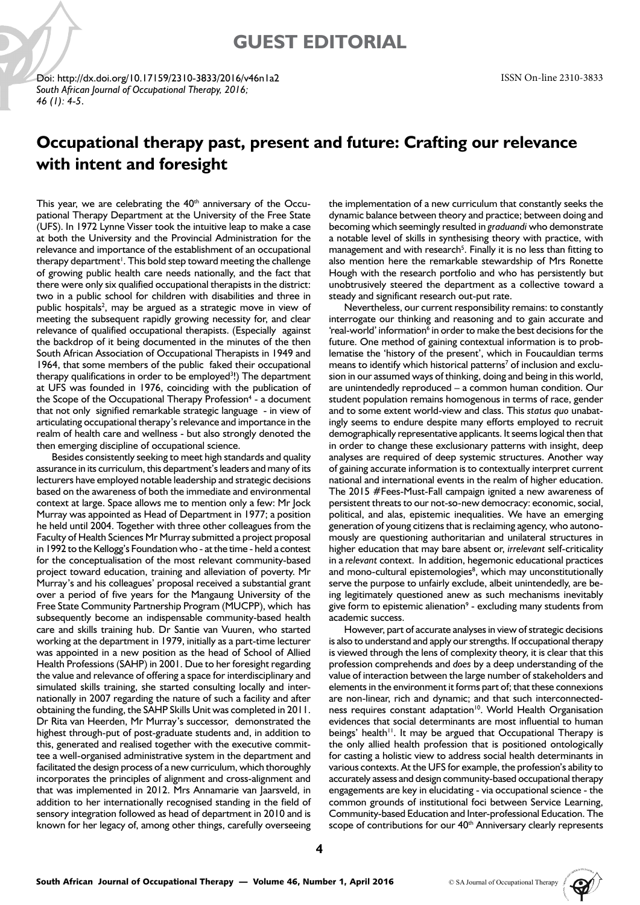## **GUEST EDITORIAL**

Doi: http://dx.doi.org/10.17159/2310-3833/2016/v46n1a2 *South African Journal of Occupational Therapy, 2016; 46 (1): 4-5*.

## **Occupational therapy past, present and future: Crafting our relevance with intent and foresight**

This year, we are celebrating the 40<sup>th</sup> anniversary of the Occupational Therapy Department at the University of the Free State (UFS). In 1972 Lynne Visser took the intuitive leap to make a case at both the University and the Provincial Administration for the relevance and importance of the establishment of an occupational therapy department<sup>1</sup>. This bold step toward meeting the challenge of growing public health care needs nationally, and the fact that there were only six qualified occupational therapists in the district: two in a public school for children with disabilities and three in public hospitals<sup>2</sup>, may be argued as a strategic move in view of meeting the subsequent rapidly growing necessity for, and clear relevance of qualified occupational therapists. (Especially against the backdrop of it being documented in the minutes of the then South African Association of Occupational Therapists in 1949 and 1964, that some members of the public faked their occupational therapy qualifications in order to be employed<sup>3</sup>!) The department at UFS was founded in 1976, coinciding with the publication of the Scope of the Occupational Therapy Profession<sup>4</sup> - a document that not only signified remarkable strategic language - in view of articulating occupational therapy's relevance and importance in the realm of health care and wellness - but also strongly denoted the then emerging discipline of occupational science.

Besides consistently seeking to meet high standards and quality assurance in its curriculum, this department's leaders and many of its lecturers have employed notable leadership and strategic decisions based on the awareness of both the immediate and environmental context at large. Space allows me to mention only a few: Mr Jock Murray was appointed as Head of Department in 1977; a position he held until 2004. Together with three other colleagues from the Faculty of Health Sciences Mr Murray submitted a project proposal in 1992 to the Kellogg's Foundation who - at the time - held a contest for the conceptualisation of the most relevant community-based project toward education, training and alleviation of poverty. Mr Murray's and his colleagues' proposal received a substantial grant over a period of five years for the Mangaung University of the Free State Community Partnership Program (MUCPP), which has subsequently become an indispensable community-based health care and skills training hub. Dr Santie van Vuuren, who started working at the department in 1979, initially as a part-time lecturer was appointed in a new position as the head of School of Allied Health Professions (SAHP) in 2001. Due to her foresight regarding the value and relevance of offering a space for interdisciplinary and simulated skills training, she started consulting locally and internationally in 2007 regarding the nature of such a facility and after obtaining the funding, the SAHP Skills Unit was completed in 2011. Dr Rita van Heerden, Mr Murray's successor, demonstrated the highest through-put of post-graduate students and, in addition to this, generated and realised together with the executive committee a well-organised administrative system in the department and facilitated the design process of a new curriculum, which thoroughly incorporates the principles of alignment and cross-alignment and that was implemented in 2012. Mrs Annamarie van Jaarsveld, in addition to her internationally recognised standing in the field of sensory integration followed as head of department in 2010 and is known for her legacy of, among other things, carefully overseeing

the implementation of a new curriculum that constantly seeks the dynamic balance between theory and practice; between doing and becoming which seemingly resulted in *graduandi* who demonstrate a notable level of skills in synthesising theory with practice, with management and with research<sup>5</sup>. Finally it is no less than fitting to also mention here the remarkable stewardship of Mrs Ronette Hough with the research portfolio and who has persistently but unobtrusively steered the department as a collective toward a steady and significant research out-put rate.

Nevertheless, our current responsibility remains: to constantly interrogate our thinking and reasoning and to gain accurate and 'real-world' information<sup>6</sup> in order to make the best decisions for the future. One method of gaining contextual information is to problematise the 'history of the present', which in Foucauldian terms means to identify which historical patterns<sup>7</sup> of inclusion and exclusion in our assumed ways of thinking, doing and being in this world, are unintendedly reproduced – a common human condition. Our student population remains homogenous in terms of race, gender and to some extent world-view and class. This *status quo* unabatingly seems to endure despite many efforts employed to recruit demographically representative applicants. It seems logical then that in order to change these exclusionary patterns with insight, deep analyses are required of deep systemic structures. Another way of gaining accurate information is to contextually interpret current national and international events in the realm of higher education. The 2015 #Fees-Must-Fall campaign ignited a new awareness of persistent threats to our not-so-new democracy: economic, social, political, and alas, epistemic inequalities. We have an emerging generation of young citizens that is reclaiming agency, who autonomously are questioning authoritarian and unilateral structures in higher education that may bare absent or, *irrelevant* self-criticality in a *relevant* context. In addition, hegemonic educational practices and mono-cultural epistemologies<sup>8</sup>, which may unconstitutionally serve the purpose to unfairly exclude, albeit unintendedly, are being legitimately questioned anew as such mechanisms inevitably give form to epistemic alienation $9$  - excluding many students from academic success.

However, part of accurate analyses in view of strategic decisions is also to understand and apply our strengths. If occupational therapy is viewed through the lens of complexity theory, it is clear that this profession comprehends and *does* by a deep understanding of the value of interaction between the large number of stakeholders and elements in the environment it forms part of; that these connexions are non-linear, rich and dynamic; and that such interconnectedness requires constant adaptation<sup>10</sup>. World Health Organisation evidences that social determinants are most influential to human beings' health<sup>11</sup>. It may be argued that Occupational Therapy is the only allied health profession that is positioned ontologically for casting a holistic view to address social health determinants in various contexts. At the UFS for example, the profession's ability to accurately assess and design community-based occupational therapy engagements are key in elucidating - via occupational science - the common grounds of institutional foci between Service Learning, Community-based Education and Inter-professional Education. The scope of contributions for our 40<sup>th</sup> Anniversary clearly represents